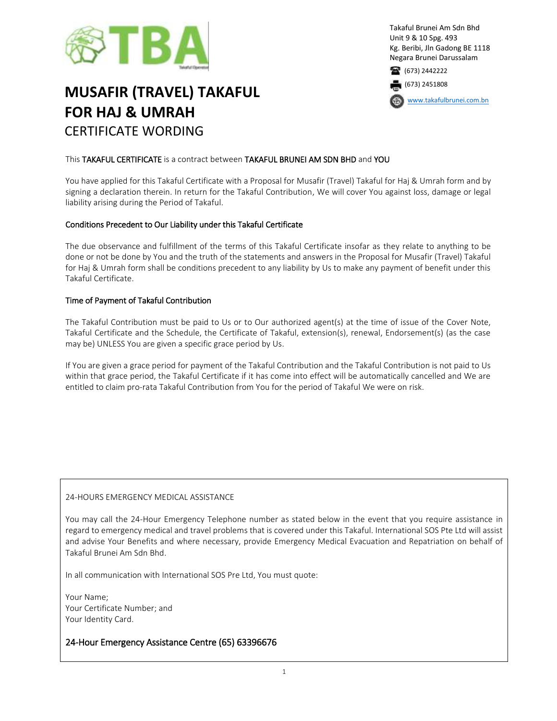

# **MUSAFIR (TRAVEL) TAKAFUL FOR HAJ & UMRAH** CERTIFICATE WORDING

Takaful Brunei Am Sdn Bhd Unit 9 & 10 Spg. 493 Kg. Beribi, Jln Gadong BE 1118 Negara Brunei Darussalam 1673) 2442222

(673) 2451808

[www.takafulbrunei.com.bn](http://www.takafulbrunei.com.bn/)

# This TAKAFUL CERTIFICATE is a contract between TAKAFUL BRUNEI AM SDN BHD and YOU

You have applied for this Takaful Certificate with a Proposal for Musafir (Travel) Takaful for Haj & Umrah form and by signing a declaration therein. In return for the Takaful Contribution, We will cover You against loss, damage or legal liability arising during the Period of Takaful.

### Conditions Precedent to Our Liability under this Takaful Certificate

The due observance and fulfillment of the terms of this Takaful Certificate insofar as they relate to anything to be done or not be done by You and the truth of the statements and answers in the Proposal for Musafir (Travel) Takaful for Haj & Umrah form shall be conditions precedent to any liability by Us to make any payment of benefit under this Takaful Certificate.

### Time of Payment of Takaful Contribution

The Takaful Contribution must be paid to Us or to Our authorized agent(s) at the time of issue of the Cover Note, Takaful Certificate and the Schedule, the Certificate of Takaful, extension(s), renewal, Endorsement(s) (as the case may be) UNLESS You are given a specific grace period by Us.

If You are given a grace period for payment of the Takaful Contribution and the Takaful Contribution is not paid to Us within that grace period, the Takaful Certificate if it has come into effect will be automatically cancelled and We are entitled to claim pro-rata Takaful Contribution from You for the period of Takaful We were on risk.

### 24-HOURS EMERGENCY MEDICAL ASSISTANCE

You may call the 24-Hour Emergency Telephone number as stated below in the event that you require assistance in regard to emergency medical and travel problems that is covered under this Takaful. International SOS Pte Ltd will assist and advise Your Benefits and where necessary, provide Emergency Medical Evacuation and Repatriation on behalf of Takaful Brunei Am Sdn Bhd.

In all communication with International SOS Pre Ltd, You must quote:

Your Name; Your Certificate Number; and Your Identity Card.

# 24-Hour Emergency Assistance Centre (65) 63396676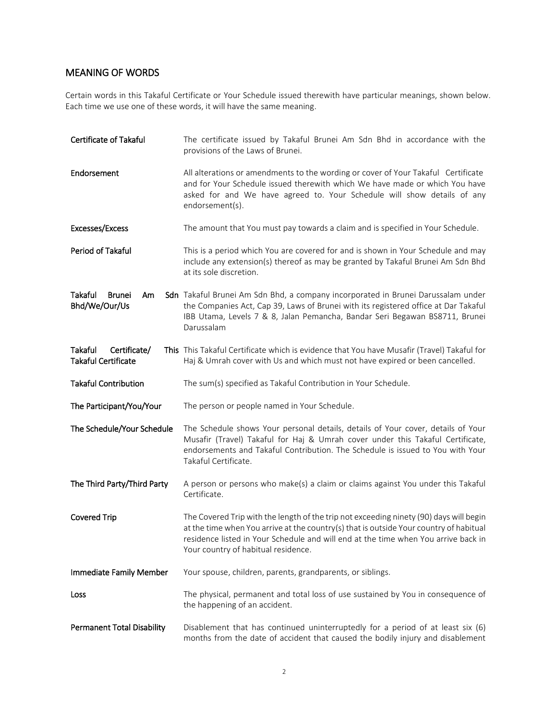# MEANING OF WORDS

Certain words in this Takaful Certificate or Your Schedule issued therewith have particular meanings, shown below. Each time we use one of these words, it will have the same meaning.

| <b>Certificate of Takaful</b>                                | The certificate issued by Takaful Brunei Am Sdn Bhd in accordance with the<br>provisions of the Laws of Brunei.                                                                                                                                                                                               |
|--------------------------------------------------------------|---------------------------------------------------------------------------------------------------------------------------------------------------------------------------------------------------------------------------------------------------------------------------------------------------------------|
| Endorsement                                                  | All alterations or amendments to the wording or cover of Your Takaful Certificate<br>and for Your Schedule issued therewith which We have made or which You have<br>asked for and We have agreed to. Your Schedule will show details of any<br>endorsement(s).                                                |
| Excesses/Excess                                              | The amount that You must pay towards a claim and is specified in Your Schedule.                                                                                                                                                                                                                               |
| Period of Takaful                                            | This is a period which You are covered for and is shown in Your Schedule and may<br>include any extension(s) thereof as may be granted by Takaful Brunei Am Sdn Bhd<br>at its sole discretion.                                                                                                                |
| Takaful<br><b>Brunei</b><br>Am<br>Bhd/We/Our/Us              | Sdn Takaful Brunei Am Sdn Bhd, a company incorporated in Brunei Darussalam under<br>the Companies Act, Cap 39, Laws of Brunei with its registered office at Dar Takaful<br>IBB Utama, Levels 7 & 8, Jalan Pemancha, Bandar Seri Begawan BS8711, Brunei<br>Darussalam                                          |
| Certificate/<br><b>Takaful</b><br><b>Takaful Certificate</b> | This This Takaful Certificate which is evidence that You have Musafir (Travel) Takaful for<br>Haj & Umrah cover with Us and which must not have expired or been cancelled.                                                                                                                                    |
| <b>Takaful Contribution</b>                                  | The sum(s) specified as Takaful Contribution in Your Schedule.                                                                                                                                                                                                                                                |
| The Participant/You/Your                                     | The person or people named in Your Schedule.                                                                                                                                                                                                                                                                  |
| The Schedule/Your Schedule                                   | The Schedule shows Your personal details, details of Your cover, details of Your<br>Musafir (Travel) Takaful for Haj & Umrah cover under this Takaful Certificate,<br>endorsements and Takaful Contribution. The Schedule is issued to You with Your<br>Takaful Certificate.                                  |
| The Third Party/Third Party                                  | A person or persons who make(s) a claim or claims against You under this Takaful<br>Certificate.                                                                                                                                                                                                              |
| <b>Covered Trip</b>                                          | The Covered Trip with the length of the trip not exceeding ninety (90) days will begin<br>at the time when You arrive at the country(s) that is outside Your country of habitual<br>residence listed in Your Schedule and will end at the time when You arrive back in<br>Your country of habitual residence. |
| Immediate Family Member                                      | Your spouse, children, parents, grandparents, or siblings.                                                                                                                                                                                                                                                    |
| Loss                                                         | The physical, permanent and total loss of use sustained by You in consequence of<br>the happening of an accident.                                                                                                                                                                                             |
| <b>Permanent Total Disability</b>                            | Disablement that has continued uninterruptedly for a period of at least six (6)<br>months from the date of accident that caused the bodily injury and disablement                                                                                                                                             |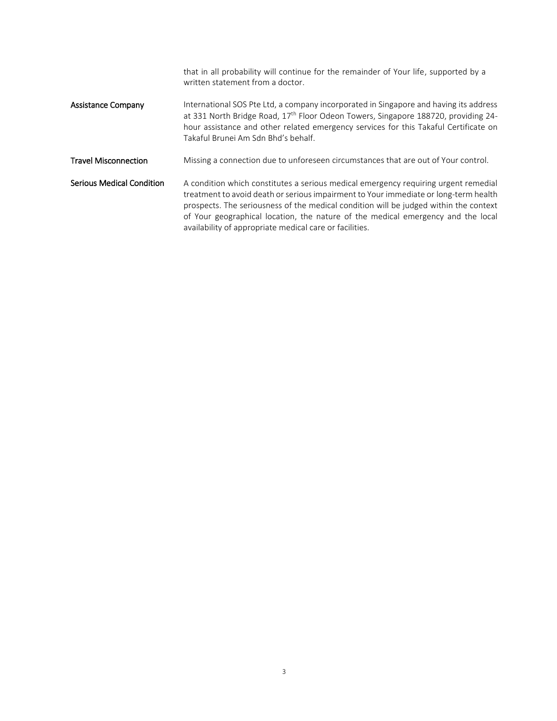|                                  | that in all probability will continue for the remainder of Your life, supported by a<br>written statement from a doctor.                                                                                                                                                                                                                                                                                            |
|----------------------------------|---------------------------------------------------------------------------------------------------------------------------------------------------------------------------------------------------------------------------------------------------------------------------------------------------------------------------------------------------------------------------------------------------------------------|
| <b>Assistance Company</b>        | International SOS Pte Ltd, a company incorporated in Singapore and having its address<br>at 331 North Bridge Road, 17 <sup>th</sup> Floor Odeon Towers, Singapore 188720, providing 24-<br>hour assistance and other related emergency services for this Takaful Certificate on<br>Takaful Brunei Am Sdn Bhd's behalf.                                                                                              |
| <b>Travel Misconnection</b>      | Missing a connection due to unforeseen circumstances that are out of Your control.                                                                                                                                                                                                                                                                                                                                  |
| <b>Serious Medical Condition</b> | A condition which constitutes a serious medical emergency requiring urgent remedial<br>treatment to avoid death or serious impairment to Your immediate or long-term health<br>prospects. The seriousness of the medical condition will be judged within the context<br>of Your geographical location, the nature of the medical emergency and the local<br>availability of appropriate medical care or facilities. |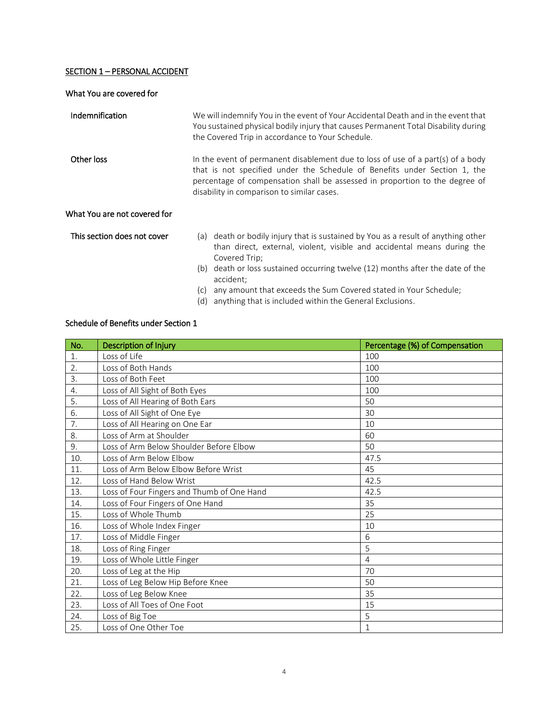# SECTION 1 - PERSONAL ACCIDENT

| What You are covered for     |                                                                                                                                                                                                                                                                                           |
|------------------------------|-------------------------------------------------------------------------------------------------------------------------------------------------------------------------------------------------------------------------------------------------------------------------------------------|
| Indemnification              | We will indemnify You in the event of Your Accidental Death and in the event that<br>You sustained physical bodily injury that causes Permanent Total Disability during<br>the Covered Trip in accordance to Your Schedule.                                                               |
| Other loss                   | In the event of permanent disablement due to loss of use of a part(s) of a body<br>that is not specified under the Schedule of Benefits under Section 1, the<br>percentage of compensation shall be assessed in proportion to the degree of<br>disability in comparison to similar cases. |
| What You are not covered for |                                                                                                                                                                                                                                                                                           |
| This section does not cover  | (a) death or bodily injury that is sustained by You as a result of anything other<br>than direct, external, violent, visible and accidental means during the<br>Covered Trip;                                                                                                             |
|                              | death or loss sustained occurring twelve (12) months after the date of the<br>(b)<br>accident;                                                                                                                                                                                            |
|                              | any amount that exceeds the Sum Covered stated in Your Schedule;<br>(c)<br>anything that is included within the General Exclusions.<br>(d)                                                                                                                                                |

# Schedule of Benefits under Section 1

| No. | Description of Injury                      | Percentage (%) of Compensation |
|-----|--------------------------------------------|--------------------------------|
| 1.  | Loss of Life                               | 100                            |
| 2.  | Loss of Both Hands                         | 100                            |
| 3.  | Loss of Both Feet                          | 100                            |
| 4.  | Loss of All Sight of Both Eyes             | 100                            |
| 5.  | Loss of All Hearing of Both Ears           | 50                             |
| 6.  | Loss of All Sight of One Eye               | 30                             |
| 7.  | Loss of All Hearing on One Ear             | 10                             |
| 8.  | Loss of Arm at Shoulder                    | 60                             |
| 9.  | Loss of Arm Below Shoulder Before Elbow    | 50                             |
| 10. | Loss of Arm Below Elbow                    | 47.5                           |
| 11. | Loss of Arm Below Elbow Before Wrist       | 45                             |
| 12. | Loss of Hand Below Wrist                   | 42.5                           |
| 13. | Loss of Four Fingers and Thumb of One Hand | 42.5                           |
| 14. | Loss of Four Fingers of One Hand           | 35                             |
| 15. | Loss of Whole Thumb                        | 25                             |
| 16. | Loss of Whole Index Finger                 | 10                             |
| 17. | Loss of Middle Finger                      | 6                              |
| 18. | Loss of Ring Finger                        | 5                              |
| 19. | Loss of Whole Little Finger                | $\overline{4}$                 |
| 20. | Loss of Leg at the Hip                     | 70                             |
| 21. | Loss of Leg Below Hip Before Knee          | 50                             |
| 22. | Loss of Leg Below Knee                     | 35                             |
| 23. | Loss of All Toes of One Foot               | 15                             |
| 24. | Loss of Big Toe                            | 5                              |
| 25. | Loss of One Other Toe                      | 1                              |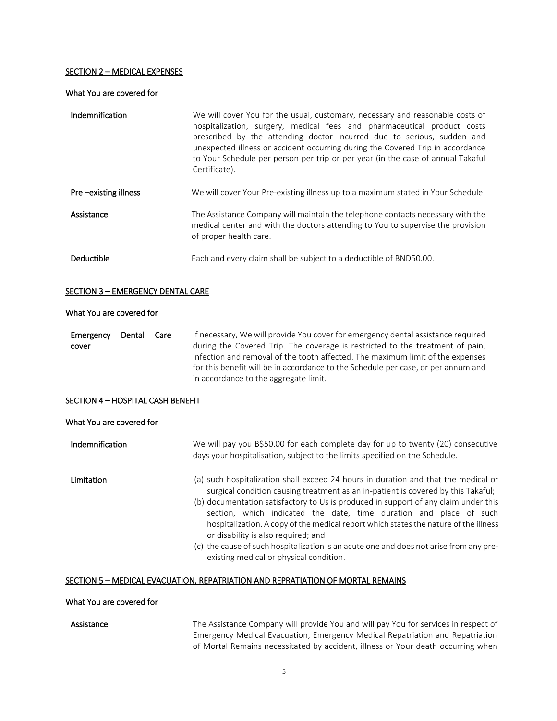#### SECTION 2 – MEDICAL EXPENSES

#### What You are covered for

| Indemnification      | We will cover You for the usual, customary, necessary and reasonable costs of<br>hospitalization, surgery, medical fees and pharmaceutical product costs<br>prescribed by the attending doctor incurred due to serious, sudden and<br>unexpected illness or accident occurring during the Covered Trip in accordance<br>to Your Schedule per person per trip or per year (in the case of annual Takaful<br>Certificate). |
|----------------------|--------------------------------------------------------------------------------------------------------------------------------------------------------------------------------------------------------------------------------------------------------------------------------------------------------------------------------------------------------------------------------------------------------------------------|
| Pre-existing illness | We will cover Your Pre-existing illness up to a maximum stated in Your Schedule.                                                                                                                                                                                                                                                                                                                                         |
| Assistance           | The Assistance Company will maintain the telephone contacts necessary with the<br>medical center and with the doctors attending to You to supervise the provision<br>of proper health care.                                                                                                                                                                                                                              |
| Deductible           | Each and every claim shall be subject to a deductible of BND50.00.                                                                                                                                                                                                                                                                                                                                                       |

#### SECTION 3 – EMERGENCY DENTAL CARE

#### What You are covered for

Emergency Dental Care cover If necessary, We will provide You cover for emergency dental assistance required during the Covered Trip. The coverage is restricted to the treatment of pain, infection and removal of the tooth affected. The maximum limit of the expenses for this benefit will be in accordance to the Schedule per case, or per annum and in accordance to the aggregate limit.

# SECTION 4 - HOSPITAL CASH BENEFIT

# What You are covered for

| <b>Indemnification</b> | We will pay you B\$50.00 for each complete day for up to twenty (20) consecutive<br>days your hospitalisation, subject to the limits specified on the Schedule.                                                                                                                                                                                                                                                                                                                                                                                                                                          |
|------------------------|----------------------------------------------------------------------------------------------------------------------------------------------------------------------------------------------------------------------------------------------------------------------------------------------------------------------------------------------------------------------------------------------------------------------------------------------------------------------------------------------------------------------------------------------------------------------------------------------------------|
| <b>Limitation</b>      | (a) such hospitalization shall exceed 24 hours in duration and that the medical or<br>surgical condition causing treatment as an in-patient is covered by this Takaful;<br>(b) documentation satisfactory to Us is produced in support of any claim under this<br>section, which indicated the date, time duration and place of such<br>hospitalization. A copy of the medical report which states the nature of the illness<br>or disability is also required; and<br>(c) the cause of such hospitalization is an acute one and does not arise from any pre-<br>existing medical or physical condition. |
|                        |                                                                                                                                                                                                                                                                                                                                                                                                                                                                                                                                                                                                          |

# SECTION 5 - MEDICAL EVACUATION, REPATRIATION AND REPRATIATION OF MORTAL REMAINS

#### What You are covered for

Assistance The Assistance Company will provide You and will pay You for services in respect of Emergency Medical Evacuation, Emergency Medical Repatriation and Repatriation of Mortal Remains necessitated by accident, illness or Your death occurring when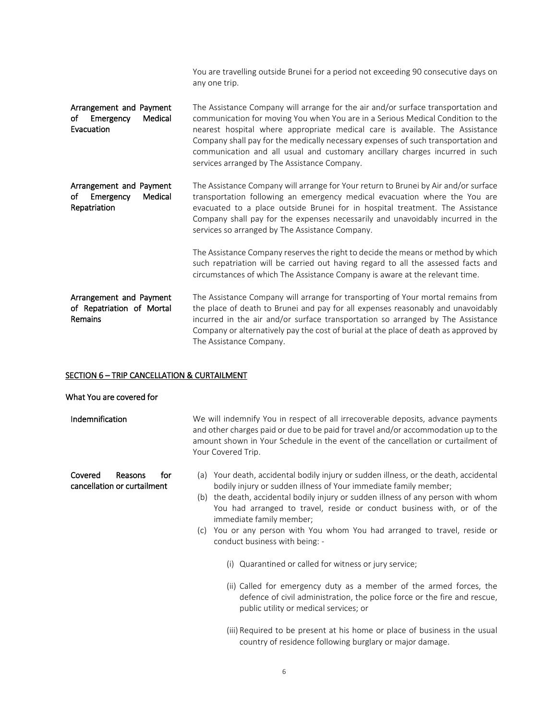|                                                                       | You are travelling outside Brunei for a period not exceeding 90 consecutive days on<br>any one trip.                                                                                                                                                                                                                                                                                                                                                                      |
|-----------------------------------------------------------------------|---------------------------------------------------------------------------------------------------------------------------------------------------------------------------------------------------------------------------------------------------------------------------------------------------------------------------------------------------------------------------------------------------------------------------------------------------------------------------|
| Arrangement and Payment<br>Medical<br>of<br>Emergency<br>Evacuation   | The Assistance Company will arrange for the air and/or surface transportation and<br>communication for moving You when You are in a Serious Medical Condition to the<br>nearest hospital where appropriate medical care is available. The Assistance<br>Company shall pay for the medically necessary expenses of such transportation and<br>communication and all usual and customary ancillary charges incurred in such<br>services arranged by The Assistance Company. |
| Arrangement and Payment<br>of<br>Emergency<br>Medical<br>Repatriation | The Assistance Company will arrange for Your return to Brunei by Air and/or surface<br>transportation following an emergency medical evacuation where the You are<br>evacuated to a place outside Brunei for in hospital treatment. The Assistance<br>Company shall pay for the expenses necessarily and unavoidably incurred in the<br>services so arranged by The Assistance Company.                                                                                   |
|                                                                       | The Assistance Company reserves the right to decide the means or method by which<br>such repatriation will be carried out having regard to all the assessed facts and<br>circumstances of which The Assistance Company is aware at the relevant time.                                                                                                                                                                                                                     |
| Arrangement and Payment<br>of Repatriation of Mortal<br>Remains       | The Assistance Company will arrange for transporting of Your mortal remains from<br>the place of death to Brunei and pay for all expenses reasonably and unavoidably<br>incurred in the air and/or surface transportation so arranged by The Assistance<br>Company or alternatively pay the cost of burial at the place of death as approved by<br>The Assistance Company.                                                                                                |

#### SECTION 6 – TRIP CANCELLATION & CURTAILMENT

#### What You are covered for

Indemnification We will indemnify You in respect of all irrecoverable deposits, advance payments and other charges paid or due to be paid for travel and/or accommodation up to the amount shown in Your Schedule in the event of the cancellation or curtailment of Your Covered Trip.

- (a) Your death, accidental bodily injury or sudden illness, or the death, accidental bodily injury or sudden illness of Your immediate family member;
- (b) the death, accidental bodily injury or sudden illness of any person with whom You had arranged to travel, reside or conduct business with, or of the immediate family member;
- (c) You or any person with You whom You had arranged to travel, reside or conduct business with being: -
	- (i) Quarantined or called for witness or jury service;
	- (ii) Called for emergency duty as a member of the armed forces, the defence of civil administration, the police force or the fire and rescue, public utility or medical services; or
	- (iii) Required to be present at his home or place of business in the usual country of residence following burglary or major damage.

Covered Reasons for cancellation or curtailment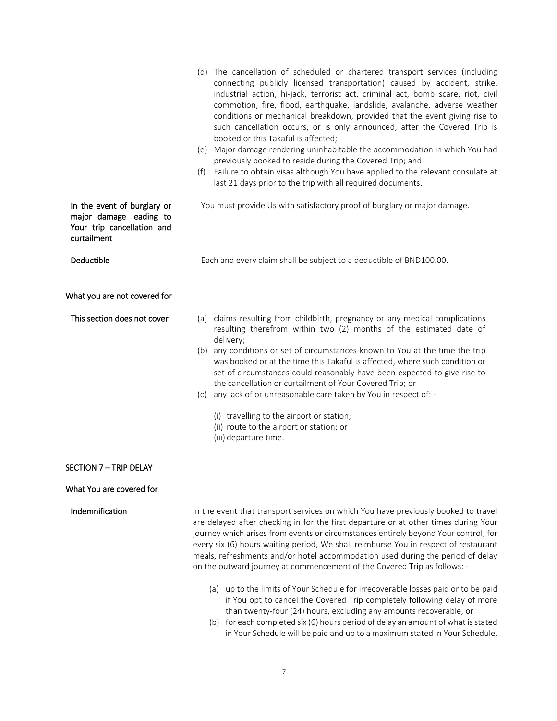|                                                                                                     | (d) The cancellation of scheduled or chartered transport services (including<br>connecting publicly licensed transportation) caused by accident, strike,<br>industrial action, hi-jack, terrorist act, criminal act, bomb scare, riot, civil<br>commotion, fire, flood, earthquake, landslide, avalanche, adverse weather<br>conditions or mechanical breakdown, provided that the event giving rise to<br>such cancellation occurs, or is only announced, after the Covered Trip is<br>booked or this Takaful is affected;<br>(e) Major damage rendering uninhabitable the accommodation in which You had<br>previously booked to reside during the Covered Trip; and<br>Failure to obtain visas although You have applied to the relevant consulate at<br>(f)<br>last 21 days prior to the trip with all required documents. |
|-----------------------------------------------------------------------------------------------------|--------------------------------------------------------------------------------------------------------------------------------------------------------------------------------------------------------------------------------------------------------------------------------------------------------------------------------------------------------------------------------------------------------------------------------------------------------------------------------------------------------------------------------------------------------------------------------------------------------------------------------------------------------------------------------------------------------------------------------------------------------------------------------------------------------------------------------|
| In the event of burglary or<br>major damage leading to<br>Your trip cancellation and<br>curtailment | You must provide Us with satisfactory proof of burglary or major damage.                                                                                                                                                                                                                                                                                                                                                                                                                                                                                                                                                                                                                                                                                                                                                       |
| <b>Deductible</b>                                                                                   | Each and every claim shall be subject to a deductible of BND100.00.                                                                                                                                                                                                                                                                                                                                                                                                                                                                                                                                                                                                                                                                                                                                                            |
| What you are not covered for                                                                        |                                                                                                                                                                                                                                                                                                                                                                                                                                                                                                                                                                                                                                                                                                                                                                                                                                |
| This section does not cover                                                                         | (a) claims resulting from childbirth, pregnancy or any medical complications<br>resulting therefrom within two (2) months of the estimated date of<br>delivery;<br>(b) any conditions or set of circumstances known to You at the time the trip<br>was booked or at the time this Takaful is affected, where such condition or<br>set of circumstances could reasonably have been expected to give rise to<br>the cancellation or curtailment of Your Covered Trip; or<br>any lack of or unreasonable care taken by You in respect of: -<br>(c)<br>(i) travelling to the airport or station;<br>(ii) route to the airport or station; or<br>(iii) departure time.                                                                                                                                                              |
| <b>SECTION 7-TRIP DELAY</b>                                                                         |                                                                                                                                                                                                                                                                                                                                                                                                                                                                                                                                                                                                                                                                                                                                                                                                                                |
| What You are covered for                                                                            |                                                                                                                                                                                                                                                                                                                                                                                                                                                                                                                                                                                                                                                                                                                                                                                                                                |
| Indemnification                                                                                     | In the event that transport services on which You have previously booked to travel<br>are delayed after checking in for the first departure or at other times during Your                                                                                                                                                                                                                                                                                                                                                                                                                                                                                                                                                                                                                                                      |

journey which arises from events or circumstances entirely beyond Your control, for every six (6) hours waiting period, We shall reimburse You in respect of restaurant meals, refreshments and/or hotel accommodation used during the period of delay on the outward journey at commencement of the Covered Trip as follows: -

- (a) up to the limits of Your Schedule for irrecoverable losses paid or to be paid if You opt to cancel the Covered Trip completely following delay of more than twenty-four (24) hours, excluding any amounts recoverable, or
- (b) for each completed six (6) hours period of delay an amount of what is stated in Your Schedule will be paid and up to a maximum stated in Your Schedule.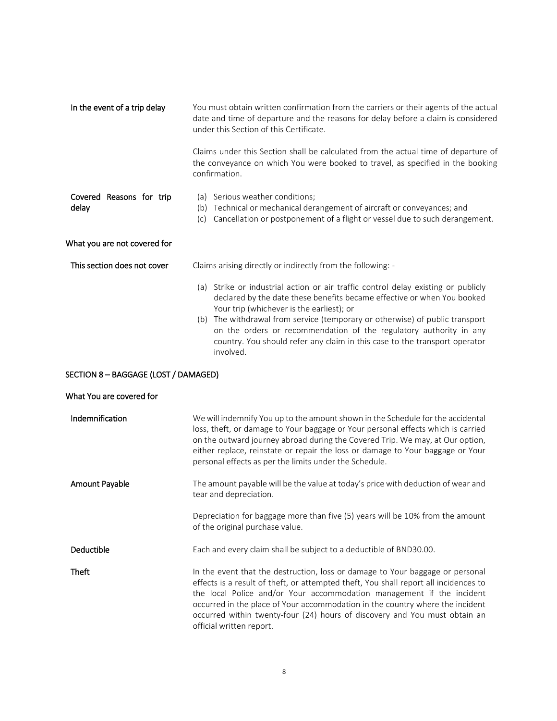| In the event of a trip delay      | You must obtain written confirmation from the carriers or their agents of the actual<br>date and time of departure and the reasons for delay before a claim is considered<br>under this Section of this Certificate.                          |
|-----------------------------------|-----------------------------------------------------------------------------------------------------------------------------------------------------------------------------------------------------------------------------------------------|
|                                   | Claims under this Section shall be calculated from the actual time of departure of<br>the conveyance on which You were booked to travel, as specified in the booking<br>confirmation.                                                         |
| Covered Reasons for trip<br>delay | (a) Serious weather conditions;<br>Technical or mechanical derangement of aircraft or conveyances; and<br>(b)<br>Cancellation or postponement of a flight or vessel due to such derangement.<br>(c)                                           |
| What you are not covered for      |                                                                                                                                                                                                                                               |
| This section does not cover       | Claims arising directly or indirectly from the following: -                                                                                                                                                                                   |
|                                   | (a) Strike or industrial action or air traffic control delay existing or publicly<br>declared by the date these benefits became effective or when You booked<br>Your trip (whichever is the earliest); or                                     |
|                                   | (b) The withdrawal from service (temporary or otherwise) of public transport<br>on the orders or recommendation of the regulatory authority in any<br>country. You should refer any claim in this case to the transport operator<br>involved. |

#### SECTION 8 – BAGGAGE (LOST / DAMAGED)

| What You are covered for |                                                                                                                                                                                                                                                                                                                                                                                                                                           |
|--------------------------|-------------------------------------------------------------------------------------------------------------------------------------------------------------------------------------------------------------------------------------------------------------------------------------------------------------------------------------------------------------------------------------------------------------------------------------------|
| Indemnification          | We will indemnify You up to the amount shown in the Schedule for the accidental<br>loss, theft, or damage to Your baggage or Your personal effects which is carried<br>on the outward journey abroad during the Covered Trip. We may, at Our option,<br>either replace, reinstate or repair the loss or damage to Your baggage or Your<br>personal effects as per the limits under the Schedule.                                          |
| Amount Payable           | The amount payable will be the value at today's price with deduction of wear and<br>tear and depreciation.                                                                                                                                                                                                                                                                                                                                |
|                          | Depreciation for baggage more than five (5) years will be 10% from the amount<br>of the original purchase value.                                                                                                                                                                                                                                                                                                                          |
| <b>Deductible</b>        | Each and every claim shall be subject to a deductible of BND30.00.                                                                                                                                                                                                                                                                                                                                                                        |
| <b>Theft</b>             | In the event that the destruction, loss or damage to Your baggage or personal<br>effects is a result of theft, or attempted theft, You shall report all incidences to<br>the local Police and/or Your accommodation management if the incident<br>occurred in the place of Your accommodation in the country where the incident<br>occurred within twenty-four (24) hours of discovery and You must obtain an<br>official written report. |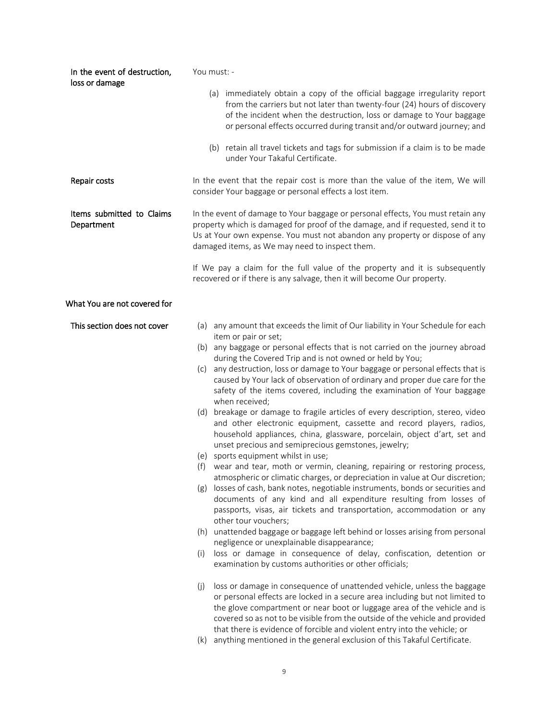| In the event of destruction,<br>loss or damage | You must: -                                                                                                                                                                                                                                                                                                                |
|------------------------------------------------|----------------------------------------------------------------------------------------------------------------------------------------------------------------------------------------------------------------------------------------------------------------------------------------------------------------------------|
|                                                | (a) immediately obtain a copy of the official baggage irregularity report<br>from the carriers but not later than twenty-four (24) hours of discovery<br>of the incident when the destruction, loss or damage to Your baggage<br>or personal effects occurred during transit and/or outward journey; and                   |
|                                                | (b) retain all travel tickets and tags for submission if a claim is to be made<br>under Your Takaful Certificate.                                                                                                                                                                                                          |
| Repair costs                                   | In the event that the repair cost is more than the value of the item, We will<br>consider Your baggage or personal effects a lost item.                                                                                                                                                                                    |
| Items submitted to Claims<br>Department        | In the event of damage to Your baggage or personal effects, You must retain any<br>property which is damaged for proof of the damage, and if requested, send it to<br>Us at Your own expense. You must not abandon any property or dispose of any<br>damaged items, as We may need to inspect them.                        |
|                                                | If We pay a claim for the full value of the property and it is subsequently<br>recovered or if there is any salvage, then it will become Our property.                                                                                                                                                                     |
| What You are not covered for                   |                                                                                                                                                                                                                                                                                                                            |
| This section does not cover                    | (a) any amount that exceeds the limit of Our liability in Your Schedule for each                                                                                                                                                                                                                                           |
|                                                | item or pair or set;<br>(b) any baggage or personal effects that is not carried on the journey abroad<br>during the Covered Trip and is not owned or held by You;                                                                                                                                                          |
|                                                | any destruction, loss or damage to Your baggage or personal effects that is<br>(c)<br>caused by Your lack of observation of ordinary and proper due care for the<br>safety of the items covered, including the examination of Your baggage<br>when received;                                                               |
|                                                | (d) breakage or damage to fragile articles of every description, stereo, video<br>and other electronic equipment, cassette and record players, radios,<br>household appliances, china, glassware, porcelain, object d'art, set and<br>unset precious and semiprecious gemstones, jewelry;                                  |
|                                                | (e) sports equipment whilst in use;<br>wear and tear, moth or vermin, cleaning, repairing or restoring process,<br>(f)                                                                                                                                                                                                     |
|                                                | atmospheric or climatic charges, or depreciation in value at Our discretion;<br>losses of cash, bank notes, negotiable instruments, bonds or securities and<br>(g)<br>documents of any kind and all expenditure resulting from losses of<br>passports, visas, air tickets and transportation, accommodation or any         |
|                                                | other tour vouchers;<br>(h) unattended baggage or baggage left behind or losses arising from personal                                                                                                                                                                                                                      |
|                                                | negligence or unexplainable disappearance;<br>loss or damage in consequence of delay, confiscation, detention or                                                                                                                                                                                                           |
|                                                | (i)<br>examination by customs authorities or other officials;                                                                                                                                                                                                                                                              |
|                                                | loss or damage in consequence of unattended vehicle, unless the baggage<br>(j)<br>or personal effects are locked in a secure area including but not limited to<br>the glove compartment or near boot or luggage area of the vehicle and is<br>covered so as not to be visible from the outside of the vehicle and provided |
|                                                | that there is evidence of forcible and violent entry into the vehicle; or<br>anything mentioned in the general exclusion of this Takaful Certificate.<br>(k)                                                                                                                                                               |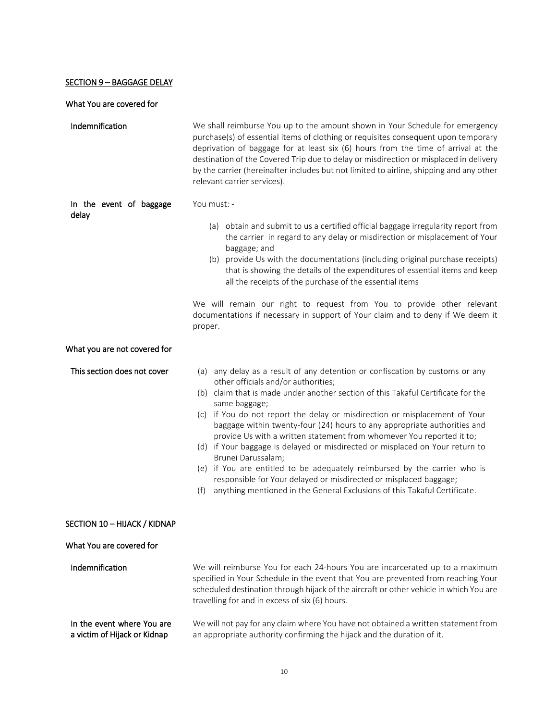# **SECTION 9 - BAGGAGE DELAY**

# What You are covered for

| Indemnification                                            | We shall reimburse You up to the amount shown in Your Schedule for emergency<br>purchase(s) of essential items of clothing or requisites consequent upon temporary<br>deprivation of baggage for at least six $(6)$ hours from the time of arrival at the<br>destination of the Covered Trip due to delay or misdirection or misplaced in delivery<br>by the carrier (hereinafter includes but not limited to airline, shipping and any other<br>relevant carrier services).                                                                                                                                                                                                                                                                                                                            |
|------------------------------------------------------------|---------------------------------------------------------------------------------------------------------------------------------------------------------------------------------------------------------------------------------------------------------------------------------------------------------------------------------------------------------------------------------------------------------------------------------------------------------------------------------------------------------------------------------------------------------------------------------------------------------------------------------------------------------------------------------------------------------------------------------------------------------------------------------------------------------|
| In the event of baggage<br>delay                           | You must: -                                                                                                                                                                                                                                                                                                                                                                                                                                                                                                                                                                                                                                                                                                                                                                                             |
|                                                            | (a) obtain and submit to us a certified official baggage irregularity report from<br>the carrier in regard to any delay or misdirection or misplacement of Your<br>baggage; and<br>(b) provide Us with the documentations (including original purchase receipts)<br>that is showing the details of the expenditures of essential items and keep<br>all the receipts of the purchase of the essential items                                                                                                                                                                                                                                                                                                                                                                                              |
|                                                            | We will remain our right to request from You to provide other relevant<br>documentations if necessary in support of Your claim and to deny if We deem it<br>proper.                                                                                                                                                                                                                                                                                                                                                                                                                                                                                                                                                                                                                                     |
| What you are not covered for                               |                                                                                                                                                                                                                                                                                                                                                                                                                                                                                                                                                                                                                                                                                                                                                                                                         |
| This section does not cover                                | (a) any delay as a result of any detention or confiscation by customs or any<br>other officials and/or authorities;<br>(b) claim that is made under another section of this Takaful Certificate for the<br>same baggage;<br>(c) if You do not report the delay or misdirection or misplacement of Your<br>baggage within twenty-four (24) hours to any appropriate authorities and<br>provide Us with a written statement from whomever You reported it to;<br>(d) if Your baggage is delayed or misdirected or misplaced on Your return to<br>Brunei Darussalam;<br>(e) if You are entitled to be adequately reimbursed by the carrier who is<br>responsible for Your delayed or misdirected or misplaced baggage;<br>anything mentioned in the General Exclusions of this Takaful Certificate.<br>(f) |
| SECTION 10 – HIJACK / KIDNAP                               |                                                                                                                                                                                                                                                                                                                                                                                                                                                                                                                                                                                                                                                                                                                                                                                                         |
| What You are covered for                                   |                                                                                                                                                                                                                                                                                                                                                                                                                                                                                                                                                                                                                                                                                                                                                                                                         |
| Indemnification                                            | We will reimburse You for each 24-hours You are incarcerated up to a maximum<br>specified in Your Schedule in the event that You are prevented from reaching Your<br>scheduled destination through hijack of the aircraft or other vehicle in which You are<br>travelling for and in excess of six (6) hours.                                                                                                                                                                                                                                                                                                                                                                                                                                                                                           |
| In the event where You are<br>a victim of Hijack or Kidnap | We will not pay for any claim where You have not obtained a written statement from<br>an appropriate authority confirming the hijack and the duration of it.                                                                                                                                                                                                                                                                                                                                                                                                                                                                                                                                                                                                                                            |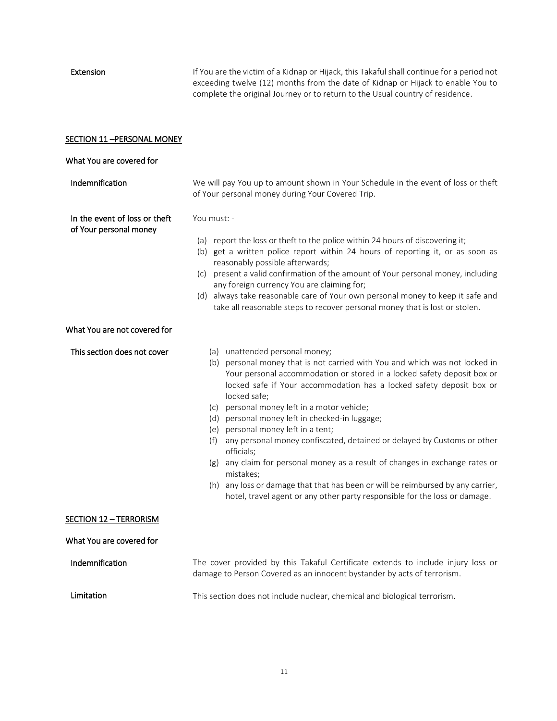Extension If You are the victim of a Kidnap or Hijack, this Takaful shall continue for a period not exceeding twelve (12) months from the date of Kidnap or Hijack to enable You to complete the original Journey or to return to the Usual country of residence.

| SECTION 11-PERSONAL MONEY                               |                                                                                                                                                                                                                                                                                                                                                                                                                                                                                                                                                                                                                                                                                                                                                                                    |  |  |  |
|---------------------------------------------------------|------------------------------------------------------------------------------------------------------------------------------------------------------------------------------------------------------------------------------------------------------------------------------------------------------------------------------------------------------------------------------------------------------------------------------------------------------------------------------------------------------------------------------------------------------------------------------------------------------------------------------------------------------------------------------------------------------------------------------------------------------------------------------------|--|--|--|
| What You are covered for                                |                                                                                                                                                                                                                                                                                                                                                                                                                                                                                                                                                                                                                                                                                                                                                                                    |  |  |  |
| Indemnification                                         | We will pay You up to amount shown in Your Schedule in the event of loss or theft<br>of Your personal money during Your Covered Trip.                                                                                                                                                                                                                                                                                                                                                                                                                                                                                                                                                                                                                                              |  |  |  |
| In the event of loss or theft<br>of Your personal money | You must: -<br>(a) report the loss or theft to the police within 24 hours of discovering it;<br>(b) get a written police report within 24 hours of reporting it, or as soon as<br>reasonably possible afterwards;<br>(c) present a valid confirmation of the amount of Your personal money, including<br>any foreign currency You are claiming for;<br>(d) always take reasonable care of Your own personal money to keep it safe and<br>take all reasonable steps to recover personal money that is lost or stolen.                                                                                                                                                                                                                                                               |  |  |  |
| What You are not covered for                            |                                                                                                                                                                                                                                                                                                                                                                                                                                                                                                                                                                                                                                                                                                                                                                                    |  |  |  |
| This section does not cover                             | (a) unattended personal money;<br>(b) personal money that is not carried with You and which was not locked in<br>Your personal accommodation or stored in a locked safety deposit box or<br>locked safe if Your accommodation has a locked safety deposit box or<br>locked safe;<br>(c) personal money left in a motor vehicle;<br>(d) personal money left in checked-in luggage;<br>(e) personal money left in a tent;<br>(f) any personal money confiscated, detained or delayed by Customs or other<br>officials;<br>(g) any claim for personal money as a result of changes in exchange rates or<br>mistakes;<br>(h) any loss or damage that that has been or will be reimbursed by any carrier,<br>hotel, travel agent or any other party responsible for the loss or damage. |  |  |  |
| <b>SECTION 12 - TERRORISM</b>                           |                                                                                                                                                                                                                                                                                                                                                                                                                                                                                                                                                                                                                                                                                                                                                                                    |  |  |  |
| What You are covered for                                |                                                                                                                                                                                                                                                                                                                                                                                                                                                                                                                                                                                                                                                                                                                                                                                    |  |  |  |
| Indemnification                                         | The cover provided by this Takaful Certificate extends to include injury loss or<br>damage to Person Covered as an innocent bystander by acts of terrorism.                                                                                                                                                                                                                                                                                                                                                                                                                                                                                                                                                                                                                        |  |  |  |
| Limitation                                              | This section does not include nuclear, chemical and biological terrorism.                                                                                                                                                                                                                                                                                                                                                                                                                                                                                                                                                                                                                                                                                                          |  |  |  |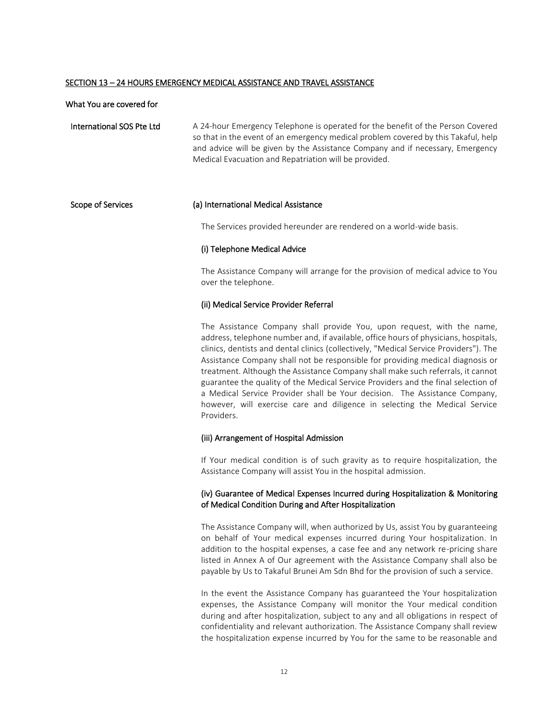#### SECTION 13 – 24 HOURS EMERGENCY MEDICAL ASSISTANCE AND TRAVEL ASSISTANCE

#### What You are covered for

International SOS Pte Ltd A 24‐hour Emergency Telephone is operated for the benefit of the Person Covered so that in the event of an emergency medical problem covered by this Takaful, help and advice will be given by the Assistance Company and if necessary, Emergency Medical Evacuation and Repatriation will be provided.

#### Scope of Services (a) International Medical Assistance

The Services provided hereunder are rendered on a world-wide basis.

#### (i) Telephone Medical Advice

The Assistance Company will arrange for the provision of medical advice to You over the telephone.

#### (ii) Medical Service Provider Referral

The Assistance Company shall provide You, upon request, with the name, address, telephone number and, if available, office hours of physicians, hospitals, clinics, dentists and dental clinics (collectively, "Medical Service Providers"). The Assistance Company shall not be responsible for providing medical diagnosis or treatment. Although the Assistance Company shall make such referrals, it cannot guarantee the quality of the Medical Service Providers and the final selection of a Medical Service Provider shall be Your decision. The Assistance Company, however, will exercise care and diligence in selecting the Medical Service Providers.

#### (iii) Arrangement of Hospital Admission

If Your medical condition is of such gravity as to require hospitalization, the Assistance Company will assist You in the hospital admission.

#### (iv) Guarantee of Medical Expenses Incurred during Hospitalization & Monitoring of Medical Condition During and After Hospitalization

The Assistance Company will, when authorized by Us, assist You by guaranteeing on behalf of Your medical expenses incurred during Your hospitalization. In addition to the hospital expenses, a case fee and any network re-pricing share listed in Annex A of Our agreement with the Assistance Company shall also be payable by Us to Takaful Brunei Am Sdn Bhd for the provision of such a service.

In the event the Assistance Company has guaranteed the Your hospitalization expenses, the Assistance Company will monitor the Your medical condition during and after hospitalization, subject to any and all obligations in respect of confidentiality and relevant authorization. The Assistance Company shall review the hospitalization expense incurred by You for the same to be reasonable and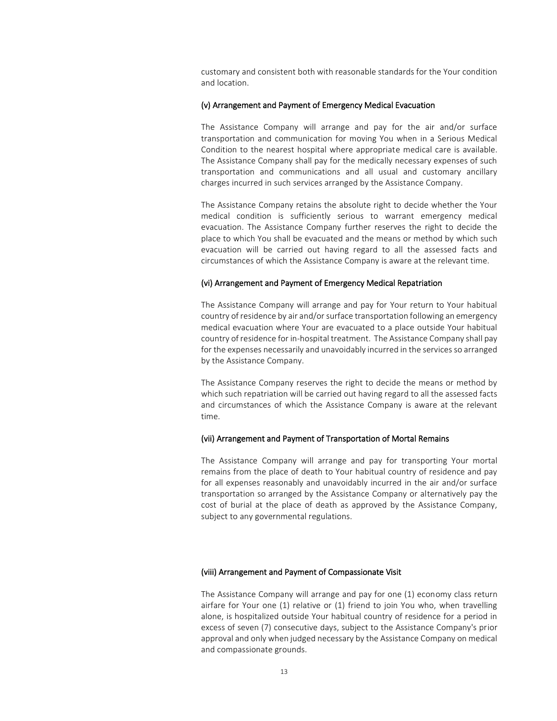customary and consistent both with reasonable standards for the Your condition and location.

#### (v) Arrangement and Payment of Emergency Medical Evacuation

The Assistance Company will arrange and pay for the air and/or surface transportation and communication for moving You when in a Serious Medical Condition to the nearest hospital where appropriate medical care is available. The Assistance Company shall pay for the medically necessary expenses of such transportation and communications and all usual and customary ancillary charges incurred in such services arranged by the Assistance Company.

The Assistance Company retains the absolute right to decide whether the Your medical condition is sufficiently serious to warrant emergency medical evacuation. The Assistance Company further reserves the right to decide the place to which You shall be evacuated and the means or method by which such evacuation will be carried out having regard to all the assessed facts and circumstances of which the Assistance Company is aware at the relevant time.

#### (vi) Arrangement and Payment of Emergency Medical Repatriation

The Assistance Company will arrange and pay for Your return to Your habitual country of residence by air and/or surface transportation following an emergency medical evacuation where Your are evacuated to a place outside Your habitual country of residence for in-hospital treatment. The Assistance Company shall pay for the expenses necessarily and unavoidably incurred in the services so arranged by the Assistance Company.

The Assistance Company reserves the right to decide the means or method by which such repatriation will be carried out having regard to all the assessed facts and circumstances of which the Assistance Company is aware at the relevant time.

#### (vii) Arrangement and Payment of Transportation of Mortal Remains

The Assistance Company will arrange and pay for transporting Your mortal remains from the place of death to Your habitual country of residence and pay for all expenses reasonably and unavoidably incurred in the air and/or surface transportation so arranged by the Assistance Company or alternatively pay the cost of burial at the place of death as approved by the Assistance Company, subject to any governmental regulations.

#### (viii) Arrangement and Payment of Compassionate Visit

The Assistance Company will arrange and pay for one (1) economy class return airfare for Your one (1) relative or (1) friend to join You who, when travelling alone, is hospitalized outside Your habitual country of residence for a period in excess of seven (7) consecutive days, subject to the Assistance Company's prior approval and only when judged necessary by the Assistance Company on medical and compassionate grounds.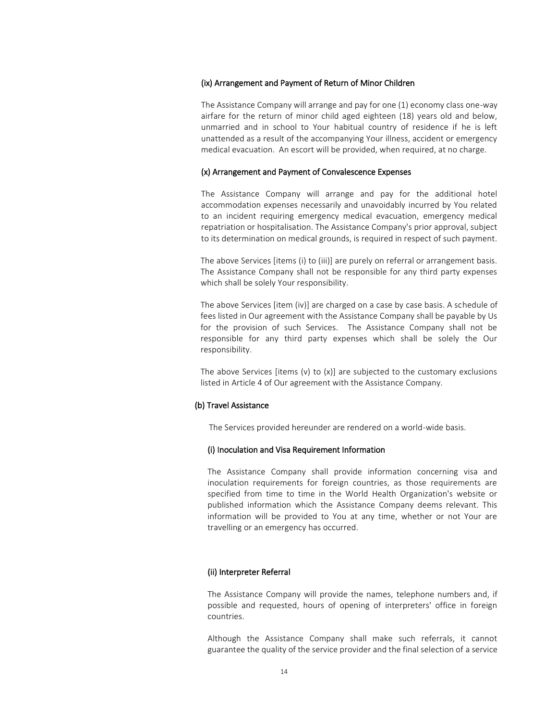#### (ix) Arrangement and Payment of Return of Minor Children

The Assistance Company will arrange and pay for one (1) economy class one-way airfare for the return of minor child aged eighteen (18) years old and below, unmarried and in school to Your habitual country of residence if he is left unattended as a result of the accompanying Your illness, accident or emergency medical evacuation. An escort will be provided, when required, at no charge.

#### (x) Arrangement and Payment of Convalescence Expenses

The Assistance Company will arrange and pay for the additional hotel accommodation expenses necessarily and unavoidably incurred by You related to an incident requiring emergency medical evacuation, emergency medical repatriation or hospitalisation. The Assistance Company's prior approval, subject to its determination on medical grounds, is required in respect of such payment.

The above Services [items (i) to (iii)] are purely on referral or arrangement basis. The Assistance Company shall not be responsible for any third party expenses which shall be solely Your responsibility.

The above Services [item (iv)] are charged on a case by case basis. A schedule of fees listed in Our agreement with the Assistance Company shall be payable by Us for the provision of such Services. The Assistance Company shall not be responsible for any third party expenses which shall be solely the Our responsibility.

The above Services [items  $(v)$  to  $(x)$ ] are subjected to the customary exclusions listed in Article 4 of Our agreement with the Assistance Company.

#### (b) Travel Assistance

The Services provided hereunder are rendered on a world-wide basis.

#### (i) Inoculation and Visa Requirement Information

The Assistance Company shall provide information concerning visa and inoculation requirements for foreign countries, as those requirements are specified from time to time in the World Health Organization's website or published information which the Assistance Company deems relevant. This information will be provided to You at any time, whether or not Your are travelling or an emergency has occurred.

#### (ii) Interpreter Referral

The Assistance Company will provide the names, telephone numbers and, if possible and requested, hours of opening of interpreters' office in foreign countries.

Although the Assistance Company shall make such referrals, it cannot guarantee the quality of the service provider and the final selection of a service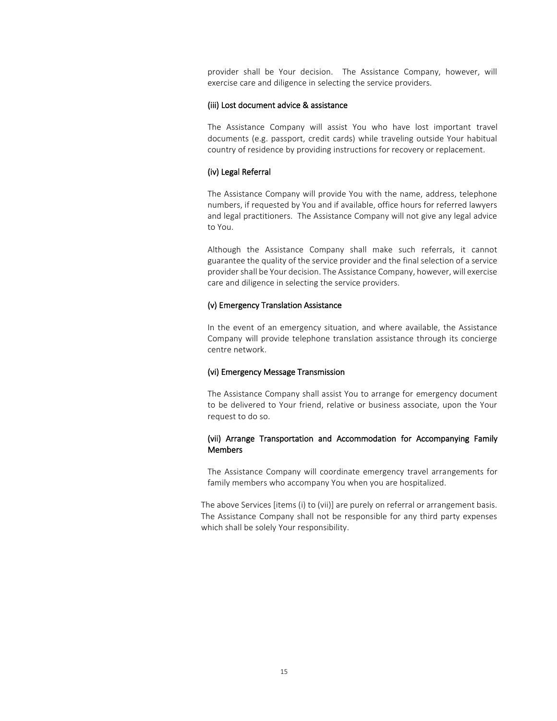provider shall be Your decision. The Assistance Company, however, will exercise care and diligence in selecting the service providers.

#### (iii) Lost document advice & assistance

The Assistance Company will assist You who have lost important travel documents (e.g. passport, credit cards) while traveling outside Your habitual country of residence by providing instructions for recovery or replacement.

#### (iv) Legal Referral

The Assistance Company will provide You with the name, address, telephone numbers, if requested by You and if available, office hours for referred lawyers and legal practitioners. The Assistance Company will not give any legal advice to You.

Although the Assistance Company shall make such referrals, it cannot guarantee the quality of the service provider and the final selection of a service provider shall be Your decision. The Assistance Company, however, will exercise care and diligence in selecting the service providers.

#### (v) Emergency Translation Assistance

In the event of an emergency situation, and where available, the Assistance Company will provide telephone translation assistance through its concierge centre network.

#### (vi) Emergency Message Transmission

The Assistance Company shall assist You to arrange for emergency document to be delivered to Your friend, relative or business associate, upon the Your request to do so.

#### (vii) Arrange Transportation and Accommodation for Accompanying Family Members

The Assistance Company will coordinate emergency travel arrangements for family members who accompany You when you are hospitalized.

The above Services [items (i) to (vii)] are purely on referral or arrangement basis. The Assistance Company shall not be responsible for any third party expenses which shall be solely Your responsibility.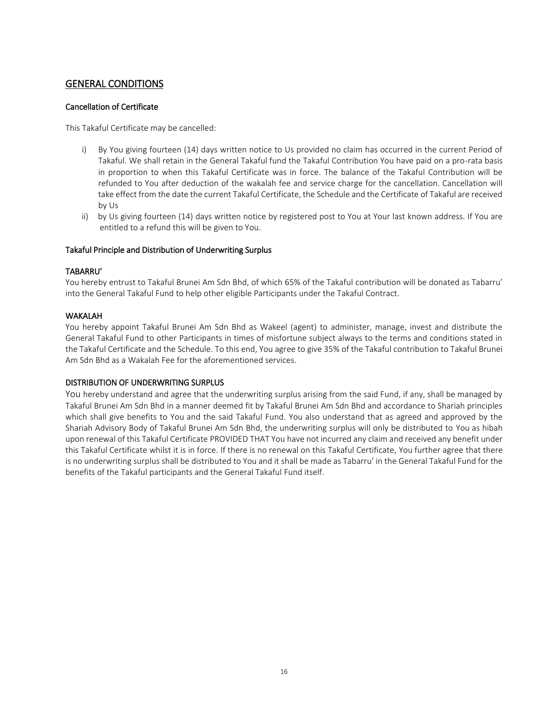# GENERAL CONDITIONS

### Cancellation of Certificate

This Takaful Certificate may be cancelled:

- i) By You giving fourteen (14) days written notice to Us provided no claim has occurred in the current Period of Takaful. We shall retain in the General Takaful fund the Takaful Contribution You have paid on a pro-rata basis in proportion to when this Takaful Certificate was in force. The balance of the Takaful Contribution will be refunded to You after deduction of the wakalah fee and service charge for the cancellation. Cancellation will take effect from the date the current Takaful Certificate, the Schedule and the Certificate of Takaful are received by Us
- ii) by Us giving fourteen (14) days written notice by registered post to You at Your last known address. If You are entitled to a refund this will be given to You.

#### Takaful Principle and Distribution of Underwriting Surplus

#### TABARRU'

You hereby entrust to Takaful Brunei Am Sdn Bhd, of which 65% of the Takaful contribution will be donated as Tabarru' into the General Takaful Fund to help other eligible Participants under the Takaful Contract.

#### WAKALAH

You hereby appoint Takaful Brunei Am Sdn Bhd as Wakeel (agent) to administer, manage, invest and distribute the General Takaful Fund to other Participants in times of misfortune subject always to the terms and conditions stated in the Takaful Certificate and the Schedule. To this end, You agree to give 35% of the Takaful contribution to Takaful Brunei Am Sdn Bhd as a Wakalah Fee for the aforementioned services.

### DISTRIBUTION OF UNDERWRITING SURPLUS

You hereby understand and agree that the underwriting surplus arising from the said Fund, if any, shall be managed by Takaful Brunei Am Sdn Bhd in a manner deemed fit by Takaful Brunei Am Sdn Bhd and accordance to Shariah principles which shall give benefits to You and the said Takaful Fund. You also understand that as agreed and approved by the Shariah Advisory Body of Takaful Brunei Am Sdn Bhd, the underwriting surplus will only be distributed to You as hibah upon renewal of this Takaful Certificate PROVIDED THAT You have not incurred any claim and received any benefit under this Takaful Certificate whilst it is in force. If there is no renewal on this Takaful Certificate, You further agree that there is no underwriting surplus shall be distributed to You and it shall be made as Tabarru' in the General Takaful Fund for the benefits of the Takaful participants and the General Takaful Fund itself.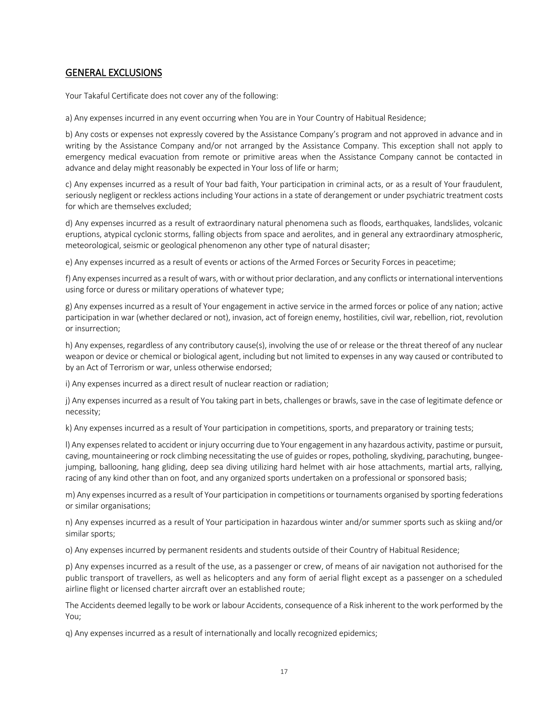# GENERAL EXCLUSIONS

Your Takaful Certificate does not cover any of the following:

a) Any expenses incurred in any event occurring when You are in Your Country of Habitual Residence;

b) Any costs or expenses not expressly covered by the Assistance Company's program and not approved in advance and in writing by the Assistance Company and/or not arranged by the Assistance Company. This exception shall not apply to emergency medical evacuation from remote or primitive areas when the Assistance Company cannot be contacted in advance and delay might reasonably be expected in Your loss of life or harm;

c) Any expenses incurred as a result of Your bad faith, Your participation in criminal acts, or as a result of Your fraudulent, seriously negligent or reckless actions including Your actions in a state of derangement or under psychiatric treatment costs for which are themselves excluded;

d) Any expenses incurred as a result of extraordinary natural phenomena such as floods, earthquakes, landslides, volcanic eruptions, atypical cyclonic storms, falling objects from space and aerolites, and in general any extraordinary atmospheric, meteorological, seismic or geological phenomenon any other type of natural disaster;

e) Any expenses incurred as a result of events or actions of the Armed Forces or Security Forces in peacetime;

f) Any expenses incurred as a result of wars, with or without prior declaration, and any conflicts or international interventions using force or duress or military operations of whatever type;

g) Any expenses incurred as a result of Your engagement in active service in the armed forces or police of any nation; active participation in war (whether declared or not), invasion, act of foreign enemy, hostilities, civil war, rebellion, riot, revolution or insurrection;

h) Any expenses, regardless of any contributory cause(s), involving the use of or release or the threat thereof of any nuclear weapon or device or chemical or biological agent, including but not limited to expenses in any way caused or contributed to by an Act of Terrorism or war, unless otherwise endorsed;

i) Any expenses incurred as a direct result of nuclear reaction or radiation;

j) Any expenses incurred as a result of You taking part in bets, challenges or brawls, save in the case of legitimate defence or necessity;

k) Any expenses incurred as a result of Your participation in competitions, sports, and preparatory or training tests;

l) Any expenses related to accident or injury occurring due to Your engagement in any hazardous activity, pastime or pursuit, caving, mountaineering or rock climbing necessitating the use of guides or ropes, potholing, skydiving, parachuting, bungeejumping, ballooning, hang gliding, deep sea diving utilizing hard helmet with air hose attachments, martial arts, rallying, racing of any kind other than on foot, and any organized sports undertaken on a professional or sponsored basis;

m) Any expenses incurred as a result of Your participation in competitions or tournaments organised by sporting federations or similar organisations;

n) Any expenses incurred as a result of Your participation in hazardous winter and/or summer sports such as skiing and/or similar sports;

o) Any expenses incurred by permanent residents and students outside of their Country of Habitual Residence;

p) Any expenses incurred as a result of the use, as a passenger or crew, of means of air navigation not authorised for the public transport of travellers, as well as helicopters and any form of aerial flight except as a passenger on a scheduled airline flight or licensed charter aircraft over an established route;

The Accidents deemed legally to be work or labour Accidents, consequence of a Risk inherent to the work performed by the You;

q) Any expenses incurred as a result of internationally and locally recognized epidemics;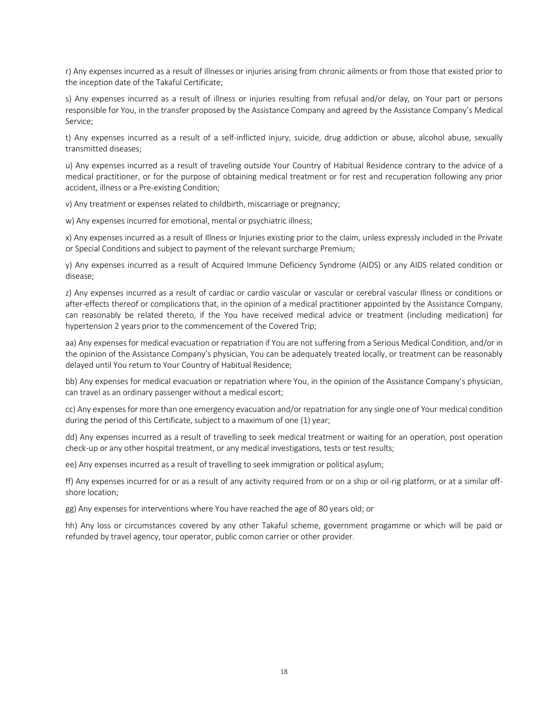r) Any expenses incurred as a result of illnesses or injuries arising from chronic ailments or from those that existed prior to the inception date of the Takaful Certificate;

s) Any expenses incurred as a result of illness or injuries resulting from refusal and/or delay, on Your part or persons responsible for You, in the transfer proposed by the Assistance Company and agreed by the Assistance Company's Medical Service;

t) Any expenses incurred as a result of a self-inflicted injury, suicide, drug addiction or abuse, alcohol abuse, sexually transmitted diseases;

u) Any expenses incurred as a result of traveling outside Your Country of Habitual Residence contrary to the advice of a medical practitioner, or for the purpose of obtaining medical treatment or for rest and recuperation following any prior accident, illness or a Pre-existing Condition;

v) Any treatment or expenses related to childbirth, miscarriage or pregnancy;

w) Any expenses incurred for emotional, mental or psychiatric illness;

x) Any expenses incurred as a result of Illness or Injuries existing prior to the claim, unless expressly included in the Private or Special Conditions and subject to payment of the relevant surcharge Premium;

y) Any expenses incurred as a result of Acquired Immune Deficiency Syndrome (AIDS) or any AIDS related condition or disease;

z) Any expenses incurred as a result of cardiac or cardio vascular or vascular or cerebral vascular Illness or conditions or after-effects thereof or complications that, in the opinion of a medical practitioner appointed by the Assistance Company, can reasonably be related thereto, if the You have received medical advice or treatment (including medication) for hypertension 2 years prior to the commencement of the Covered Trip;

aa) Any expenses for medical evacuation or repatriation if You are not suffering from a Serious Medical Condition, and/or in the opinion of the Assistance Company's physician, You can be adequately treated locally, or treatment can be reasonably delayed until You return to Your Country of Habitual Residence;

bb) Any expenses for medical evacuation or repatriation where You, in the opinion of the Assistance Company's physician, can travel as an ordinary passenger without a medical escort;

cc) Any expenses for more than one emergency evacuation and/or repatriation for any single one of Your medical condition during the period of this Certificate, subject to a maximum of one (1) year;

dd) Any expenses incurred as a result of travelling to seek medical treatment or waiting for an operation, post operation check-up or any other hospital treatment, or any medical investigations, tests or test results;

ee) Any expenses incurred as a result of travelling to seek immigration or political asylum;

ff) Any expenses incurred for or as a result of any activity required from or on a ship or oil-rig platform, or at a similar offshore location;

gg) Any expenses for interventions where You have reached the age of 80 years old; or

hh) Any loss or circumstances covered by any other Takaful scheme, government progamme or which will be paid or refunded by travel agency, tour operator, public comon carrier or other provider.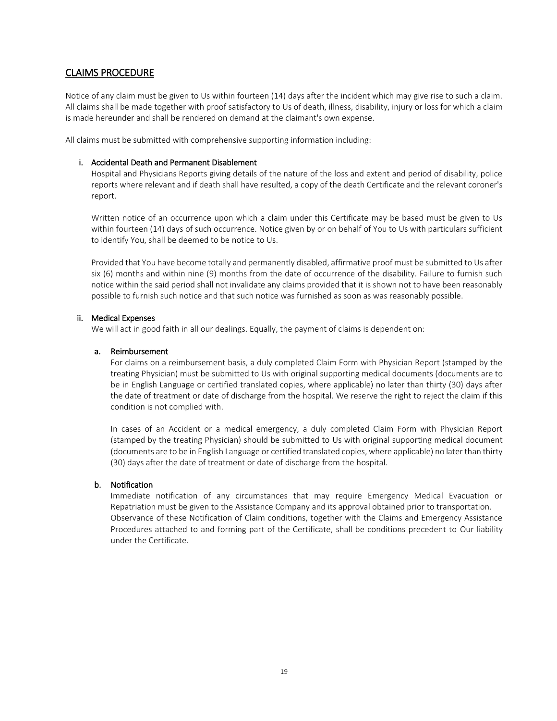# CLAIMS PROCEDURE

Notice of any claim must be given to Us within fourteen (14) days after the incident which may give rise to such a claim. All claims shall be made together with proof satisfactory to Us of death, illness, disability, injury or loss for which a claim is made hereunder and shall be rendered on demand at the claimant's own expense.

All claims must be submitted with comprehensive supporting information including:

#### i. Accidental Death and Permanent Disablement

Hospital and Physicians Reports giving details of the nature of the loss and extent and period of disability, police reports where relevant and if death shall have resulted, a copy of the death Certificate and the relevant coroner's report.

Written notice of an occurrence upon which a claim under this Certificate may be based must be given to Us within fourteen (14) days of such occurrence. Notice given by or on behalf of You to Us with particulars sufficient to identify You, shall be deemed to be notice to Us.

Provided that You have become totally and permanently disabled, affirmative proof must be submitted to Us after six (6) months and within nine (9) months from the date of occurrence of the disability. Failure to furnish such notice within the said period shall not invalidate any claims provided that it is shown not to have been reasonably possible to furnish such notice and that such notice was furnished as soon as was reasonably possible.

#### ii. Medical Expenses

We will act in good faith in all our dealings. Equally, the payment of claims is dependent on:

#### a. Reimbursement

For claims on a reimbursement basis, a duly completed Claim Form with Physician Report (stamped by the treating Physician) must be submitted to Us with original supporting medical documents (documents are to be in English Language or certified translated copies, where applicable) no later than thirty (30) days after the date of treatment or date of discharge from the hospital. We reserve the right to reject the claim if this condition is not complied with.

In cases of an Accident or a medical emergency, a duly completed Claim Form with Physician Report (stamped by the treating Physician) should be submitted to Us with original supporting medical document (documents are to be in English Language or certified translated copies, where applicable) no later than thirty (30) days after the date of treatment or date of discharge from the hospital.

### b. Notification

Immediate notification of any circumstances that may require Emergency Medical Evacuation or Repatriation must be given to the Assistance Company and its approval obtained prior to transportation. Observance of these Notification of Claim conditions, together with the Claims and Emergency Assistance Procedures attached to and forming part of the Certificate, shall be conditions precedent to Our liability under the Certificate.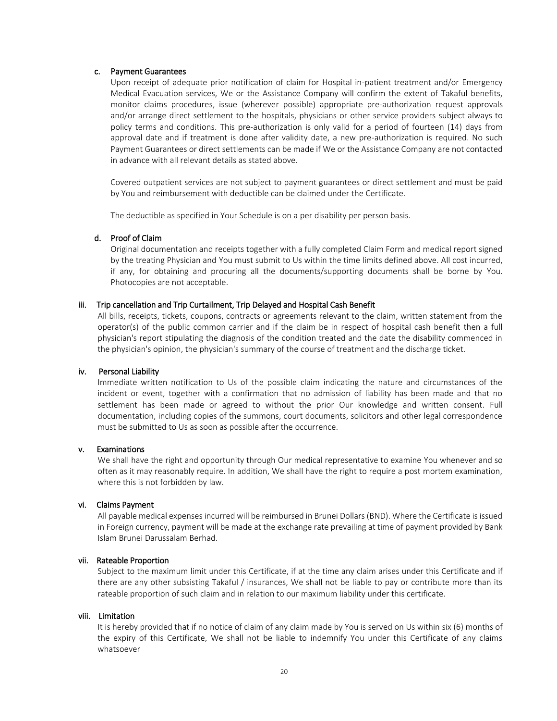#### c. Payment Guarantees

Upon receipt of adequate prior notification of claim for Hospital in-patient treatment and/or Emergency Medical Evacuation services, We or the Assistance Company will confirm the extent of Takaful benefits, monitor claims procedures, issue (wherever possible) appropriate pre-authorization request approvals and/or arrange direct settlement to the hospitals, physicians or other service providers subject always to policy terms and conditions. This pre-authorization is only valid for a period of fourteen (14) days from approval date and if treatment is done after validity date, a new pre-authorization is required. No such Payment Guarantees or direct settlements can be made if We or the Assistance Company are not contacted in advance with all relevant details as stated above.

Covered outpatient services are not subject to payment guarantees or direct settlement and must be paid by You and reimbursement with deductible can be claimed under the Certificate.

The deductible as specified in Your Schedule is on a per disability per person basis.

#### d. Proof of Claim

Original documentation and receipts together with a fully completed Claim Form and medical report signed by the treating Physician and You must submit to Us within the time limits defined above. All cost incurred, if any, for obtaining and procuring all the documents/supporting documents shall be borne by You. Photocopies are not acceptable.

#### iii. Trip cancellation and Trip Curtailment, Trip Delayed and Hospital Cash Benefit

All bills, receipts, tickets, coupons, contracts or agreements relevant to the claim, written statement from the operator(s) of the public common carrier and if the claim be in respect of hospital cash benefit then a full physician's report stipulating the diagnosis of the condition treated and the date the disability commenced in the physician's opinion, the physician's summary of the course of treatment and the discharge ticket.

#### iv. Personal Liability

Immediate written notification to Us of the possible claim indicating the nature and circumstances of the incident or event, together with a confirmation that no admission of liability has been made and that no settlement has been made or agreed to without the prior Our knowledge and written consent. Full documentation, including copies of the summons, court documents, solicitors and other legal correspondence must be submitted to Us as soon as possible after the occurrence.

#### v. Examinations

We shall have the right and opportunity through Our medical representative to examine You whenever and so often as it may reasonably require. In addition, We shall have the right to require a post mortem examination, where this is not forbidden by law.

#### vi. Claims Payment

All payable medical expenses incurred will be reimbursed in Brunei Dollars (BND). Where the Certificate is issued in Foreign currency, payment will be made at the exchange rate prevailing at time of payment provided by Bank Islam Brunei Darussalam Berhad.

#### vii. Rateable Proportion

Subject to the maximum limit under this Certificate, if at the time any claim arises under this Certificate and if there are any other subsisting Takaful / insurances, We shall not be liable to pay or contribute more than its rateable proportion of such claim and in relation to our maximum liability under this certificate.

#### viii. Limitation

It is hereby provided that if no notice of claim of any claim made by You is served on Us within six (6) months of the expiry of this Certificate, We shall not be liable to indemnify You under this Certificate of any claims whatsoever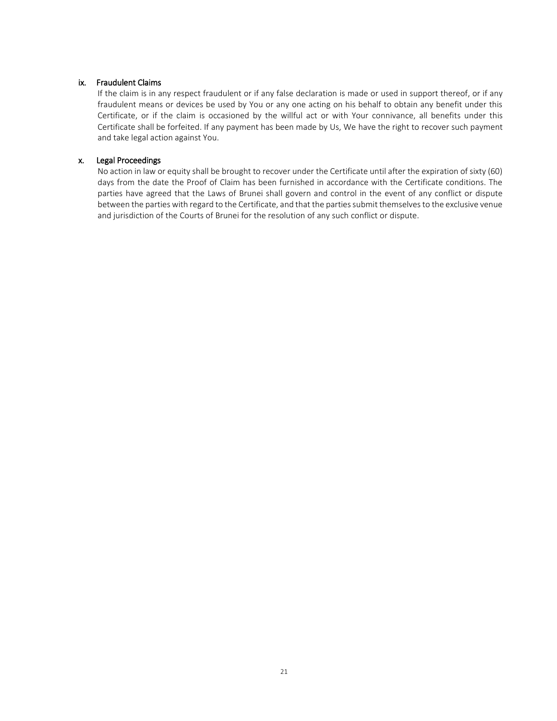#### ix. Fraudulent Claims

If the claim is in any respect fraudulent or if any false declaration is made or used in support thereof, or if any fraudulent means or devices be used by You or any one acting on his behalf to obtain any benefit under this Certificate, or if the claim is occasioned by the willful act or with Your connivance, all benefits under this Certificate shall be forfeited. If any payment has been made by Us, We have the right to recover such payment and take legal action against You.

#### x. Legal Proceedings

No action in law or equity shall be brought to recover under the Certificate until after the expiration of sixty (60) days from the date the Proof of Claim has been furnished in accordance with the Certificate conditions. The parties have agreed that the Laws of Brunei shall govern and control in the event of any conflict or dispute between the parties with regard to the Certificate, and that the parties submit themselves to the exclusive venue and jurisdiction of the Courts of Brunei for the resolution of any such conflict or dispute.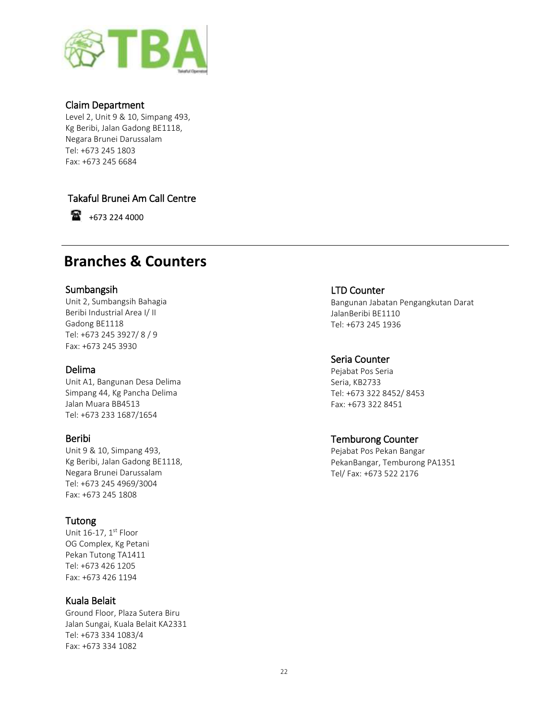

# Claim Department

Level 2, Unit 9 & 10, Simpang 493, Kg Beribi, Jalan Gadong BE1118, Negara Brunei Darussalam Tel: +673 245 1803 Fax: +673 245 6684

# Takaful Brunei Am Call Centre

 $\bullet$  +673 224 4000

# **Branches & Counters**

# Sumbangsih

Unit 2, Sumbangsih Bahagia Beribi Industrial Area I/ II Gadong BE1118 Tel: +673 245 3927/ 8 / 9 Fax: +673 245 3930

# Delima

Unit A1, Bangunan Desa Delima Simpang 44, Kg Pancha Delima Jalan Muara BB4513 Tel: +673 233 1687/1654

# Beribi

Unit 9 & 10, Simpang 493, Kg Beribi, Jalan Gadong BE1118, Negara Brunei Darussalam Tel: +673 245 4969/3004 Fax: +673 245 1808

# Tutong

Unit 16-17, 1<sup>st</sup> Floor OG Complex, Kg Petani Pekan Tutong TA1411 Tel: +673 426 1205 Fax: +673 426 1194

# Kuala Belait

Ground Floor, Plaza Sutera Biru Jalan Sungai, Kuala Belait KA2331 Tel: +673 334 1083/4 Fax: +673 334 1082

# LTD Counter

Bangunan Jabatan Pengangkutan Darat JalanBeribi BE1110 Tel: +673 245 1936

# Seria Counter

Pejabat Pos Seria Seria, KB2733 Tel: +673 322 8452/ 8453 Fax: +673 322 8451

# Temburong Counter

Pejabat Pos Pekan Bangar PekanBangar, Temburong PA1351 Tel/ Fax: +673 522 2176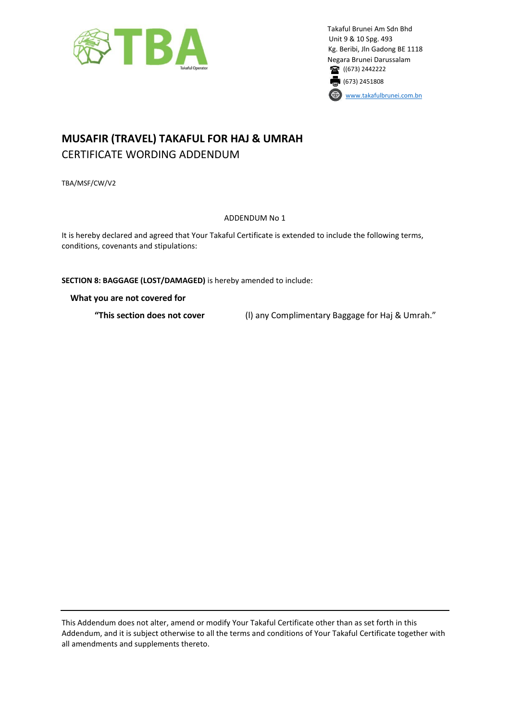

Takaful Brunei Am Sdn Bhd Unit 9 & 10 Spg. 493 Kg. Beribi, Jln Gadong BE 1118 Negara Brunei Darussalam 1673) 2442222 (673) 2451808 [www.takafulbrunei.com.bn](http://www.takafulbrunei.com.bn/)

# **MUSAFIR (TRAVEL) TAKAFUL FOR HAJ & UMRAH**  CERTIFICATE WORDING ADDENDUM

TBA/MSF/CW/V2

ADDENDUM No 1

It is hereby declared and agreed that Your Takaful Certificate is extended to include the following terms, conditions, covenants and stipulations:

**SECTION 8: BAGGAGE (LOST/DAMAGED)** is hereby amended to include:

**What you are not covered for**

**"This section does not cover** (l) any Complimentary Baggage for Haj & Umrah."

This Addendum does not alter, amend or modify Your Takaful Certificate other than as set forth in this Addendum, and it is subject otherwise to all the terms and conditions of Your Takaful Certificate together with all amendments and supplements thereto.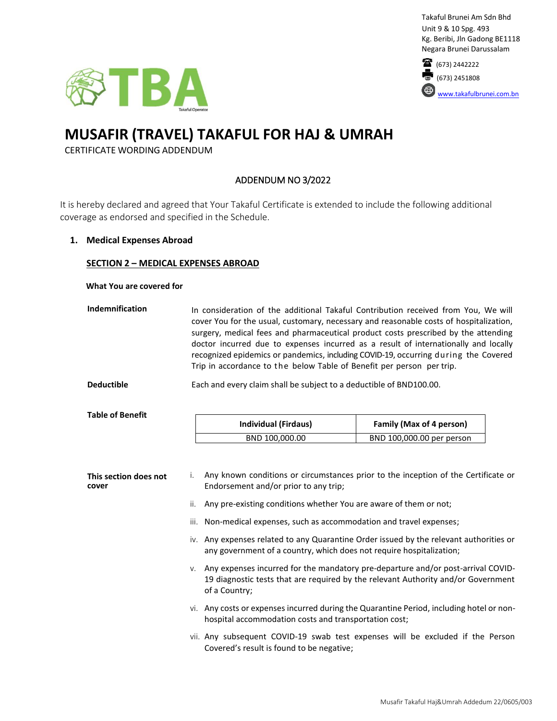





# **MUSAFIR (TRAVEL) TAKAFUL FOR HAJ & UMRAH**

CERTIFICATE WORDING ADDENDUM

# ADDENDUM NO 3/2022

It is hereby declared and agreed that Your Takaful Certificate is extended to include the following additional coverage as endorsed and specified in the Schedule.

#### **1. Medical Expenses Abroad**

### **SECTION 2 – MEDICAL EXPENSES ABROAD**

#### **What You are covered for**

| <b>Indemnification</b>         |                                                                                             | In consideration of the additional Takaful Contribution received from You, We will<br>cover You for the usual, customary, necessary and reasonable costs of hospitalization,<br>surgery, medical fees and pharmaceutical product costs prescribed by the attending<br>doctor incurred due to expenses incurred as a result of internationally and locally<br>recognized epidemics or pandemics, including COVID-19, occurring during the Covered<br>Trip in accordance to the below Table of Benefit per person per trip. |                                                       |  |  |  |
|--------------------------------|---------------------------------------------------------------------------------------------|---------------------------------------------------------------------------------------------------------------------------------------------------------------------------------------------------------------------------------------------------------------------------------------------------------------------------------------------------------------------------------------------------------------------------------------------------------------------------------------------------------------------------|-------------------------------------------------------|--|--|--|
| <b>Deductible</b>              |                                                                                             | Each and every claim shall be subject to a deductible of BND100.00.                                                                                                                                                                                                                                                                                                                                                                                                                                                       |                                                       |  |  |  |
| <b>Table of Benefit</b>        |                                                                                             | Individual (Firdaus)<br>BND 100,000.00                                                                                                                                                                                                                                                                                                                                                                                                                                                                                    | Family (Max of 4 person)<br>BND 100,000.00 per person |  |  |  |
| This section does not<br>cover | i.<br>ii.<br>iii.                                                                           | Any known conditions or circumstances prior to the inception of the Certificate or<br>Endorsement and/or prior to any trip;<br>Any pre-existing conditions whether You are aware of them or not;<br>Non-medical expenses, such as accommodation and travel expenses;                                                                                                                                                                                                                                                      |                                                       |  |  |  |
|                                | $\mu$ , Apu overages related to apu Quarantino Order issued by the relevant quitberities or |                                                                                                                                                                                                                                                                                                                                                                                                                                                                                                                           |                                                       |  |  |  |

- iv. Any expenses related to any Quarantine Order issued by the relevant authorities or any government of a country, which does not require hospitalization;
- v. Any expenses incurred for the mandatory pre-departure and/or post-arrival COVID-19 diagnostic tests that are required by the relevant Authority and/or Government of a Country;
- vi. Any costs or expenses incurred during the Quarantine Period, including hotel or nonhospital accommodation costs and transportation cost;
- vii. Any subsequent COVID-19 swab test expenses will be excluded if the Person Covered's result is found to be negative;